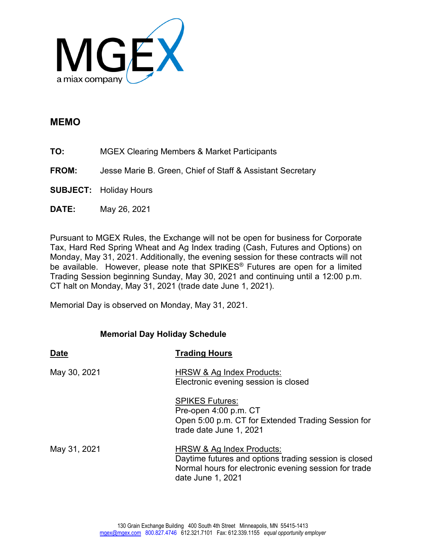

## **MEMO**

- **TO:** MGEX Clearing Members & Market Participants
- **FROM:** Jesse Marie B. Green, Chief of Staff & Assistant Secretary
- **SUBJECT:** Holiday Hours
- **DATE:** May 26, 2021

Pursuant to MGEX Rules, the Exchange will not be open for business for Corporate Tax, Hard Red Spring Wheat and Ag Index trading (Cash, Futures and Options) on Monday, May 31, 2021. Additionally, the evening session for these contracts will not be available. However, please note that SPIKES® Futures are open for a limited Trading Session beginning Sunday, May 30, 2021 and continuing until a 12:00 p.m. CT halt on Monday, May 31, 2021 (trade date June 1, 2021).

Memorial Day is observed on Monday, May 31, 2021.

## **Memorial Day Holiday Schedule**

| <b>Date</b>  | <b>Trading Hours</b>                                                                                                                                             |
|--------------|------------------------------------------------------------------------------------------------------------------------------------------------------------------|
| May 30, 2021 | HRSW & Ag Index Products:<br>Electronic evening session is closed                                                                                                |
|              | <b>SPIKES Futures:</b><br>Pre-open 4:00 p.m. CT<br>Open 5:00 p.m. CT for Extended Trading Session for<br>trade date June 1, 2021                                 |
| May 31, 2021 | HRSW & Ag Index Products:<br>Daytime futures and options trading session is closed<br>Normal hours for electronic evening session for trade<br>date June 1, 2021 |